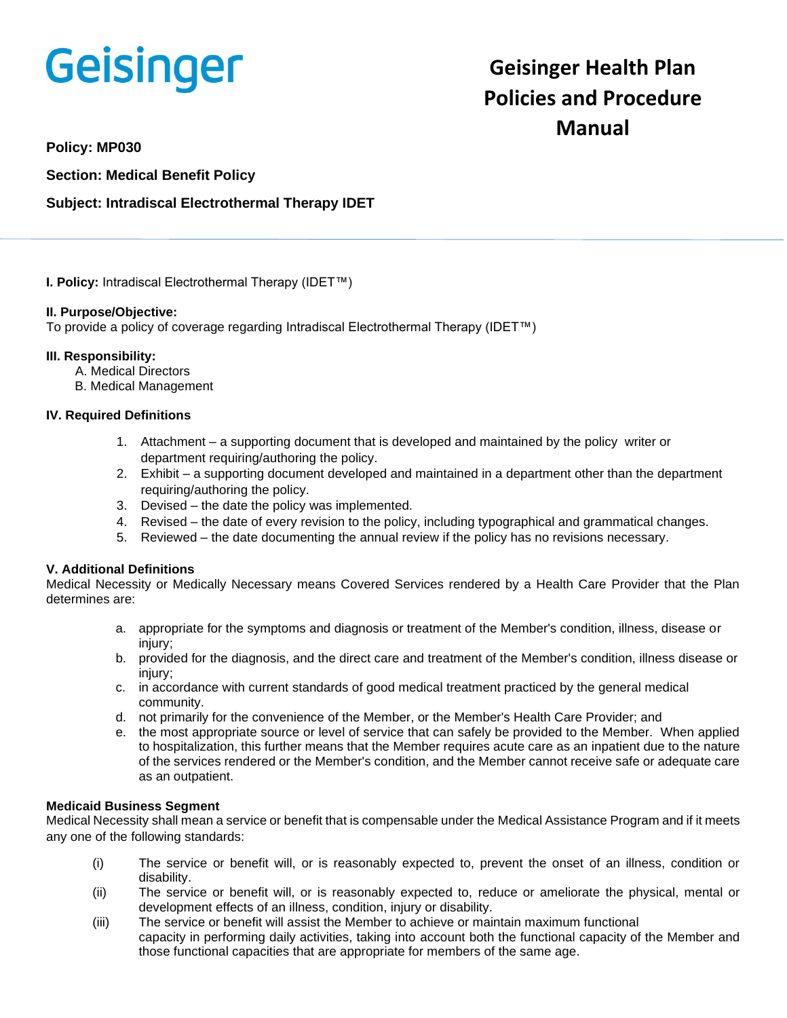# **Geisinger**

# **Geisinger Health Plan Policies and Procedure Manual**

**Policy: MP030**

**Section: Medical Benefit Policy**

# **Subject: Intradiscal Electrothermal Therapy IDET**

**I. Policy:** Intradiscal Electrothermal Therapy (IDET™)

# **II. Purpose/Objective:**

To provide a policy of coverage regarding Intradiscal Electrothermal Therapy (IDET™)

### **III. Responsibility:**

- A. Medical Directors
- B. Medical Management

# **IV. Required Definitions**

- 1. Attachment a supporting document that is developed and maintained by the policy writer or department requiring/authoring the policy.
- 2. Exhibit a supporting document developed and maintained in a department other than the department requiring/authoring the policy.
- 3. Devised the date the policy was implemented.
- 4. Revised the date of every revision to the policy, including typographical and grammatical changes.
- 5. Reviewed the date documenting the annual review if the policy has no revisions necessary.

# **V. Additional Definitions**

Medical Necessity or Medically Necessary means Covered Services rendered by a Health Care Provider that the Plan determines are:

- a. appropriate for the symptoms and diagnosis or treatment of the Member's condition, illness, disease or injury;
- b. provided for the diagnosis, and the direct care and treatment of the Member's condition, illness disease or injury;
- c. in accordance with current standards of good medical treatment practiced by the general medical community.
- d. not primarily for the convenience of the Member, or the Member's Health Care Provider; and
- e. the most appropriate source or level of service that can safely be provided to the Member. When applied to hospitalization, this further means that the Member requires acute care as an inpatient due to the nature of the services rendered or the Member's condition, and the Member cannot receive safe or adequate care as an outpatient.

#### **Medicaid Business Segment**

Medical Necessity shall mean a service or benefit that is compensable under the Medical Assistance Program and if it meets any one of the following standards:

- (i) The service or benefit will, or is reasonably expected to, prevent the onset of an illness, condition or disability.
- (ii) The service or benefit will, or is reasonably expected to, reduce or ameliorate the physical, mental or development effects of an illness, condition, injury or disability.
- (iii) The service or benefit will assist the Member to achieve or maintain maximum functional capacity in performing daily activities, taking into account both the functional capacity of the Member and those functional capacities that are appropriate for members of the same age.